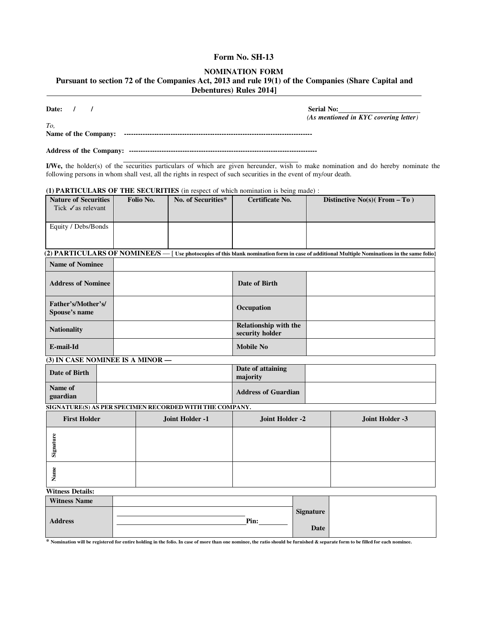## **Form No. SH-13**

### **NOMINATION FORM**

**Pursuant to section 72 of the Companies Act, 2013 and rule 19(1) of the Companies (Share Capital and Debentures) Rules 2014]** 

**Date: / / Serial No:**

*(As mentioned in KYC covering letter)* 

*To,*  **Name of the Company: ---------------------------------------------------------------------------------** 

**Address of the Company: ---------------------------------------------------------------------------------** 

I/We, the holder(s) of the securities particulars of which are given hereunder, wish to make nomination and do hereby nominate the following persons in whom shall vest, all the rights in respect of such securities in the event of my/our death.

| (1) <b>PARTICULARS OF THE SECURITIES</b> (in respect of which nomination is being made): |  |
|------------------------------------------------------------------------------------------|--|
|------------------------------------------------------------------------------------------|--|

| <b>Nature of Securities</b><br>Tick $\checkmark$ as relevant | Folio No. | No. of Securities* | Certificate No. | Distinctive $No(s)$ (From $-$ To )                                                                                                                                              |
|--------------------------------------------------------------|-----------|--------------------|-----------------|---------------------------------------------------------------------------------------------------------------------------------------------------------------------------------|
| Equity / Debs/Bonds                                          |           |                    |                 |                                                                                                                                                                                 |
|                                                              |           |                    |                 |                                                                                                                                                                                 |
|                                                              |           |                    |                 | $(2)$ $\mathrm{PARTICULARS}$ $\mathrm{OF}\,\mathrm{NOMINEES}$ $-$ [ Use photocopies of this blank nomination form in case of additional Multiple Nominations in the same folio] |

| <b>Name of Nominee</b>              | $\overline{\phantom{a}}$ |                                                 |  |
|-------------------------------------|--------------------------|-------------------------------------------------|--|
| <b>Address of Nominee</b>           |                          | Date of Birth                                   |  |
| Father's/Mother's/<br>Spouse's name |                          | Occupation                                      |  |
| <b>Nationality</b>                  |                          | <b>Relationship with the</b><br>security holder |  |
| E-mail-Id                           |                          | <b>Mobile No</b>                                |  |

### **(3) IN CASE NOMINEE IS A MINOR —**

| Date of Birth       | Date of attaining<br>maiority |  |
|---------------------|-------------------------------|--|
| Name of<br>guardian | <b>Address of Guardian</b>    |  |

**SIGNATURE(S) AS PER SPECIMEN RECORDED WITH THE COMPANY.**

| <b>First Holder</b> | Joint Holder -1 | Joint Holder -2 | Joint Holder -3 |
|---------------------|-----------------|-----------------|-----------------|
| α<br>Signa          |                 |                 |                 |
| ω<br>ಷ<br>∼         |                 |                 |                 |

### **Witness Details:**

| <b>Witness Name</b> |      |                  |  |
|---------------------|------|------------------|--|
|                     |      | <b>Signature</b> |  |
| <b>Address</b>      | Pin: | Date             |  |

**\* Nomination will be registered for entire holding in the folio. In case of more than one nominee, the ratio should be furnished & separate form to be filled for each nominee.**